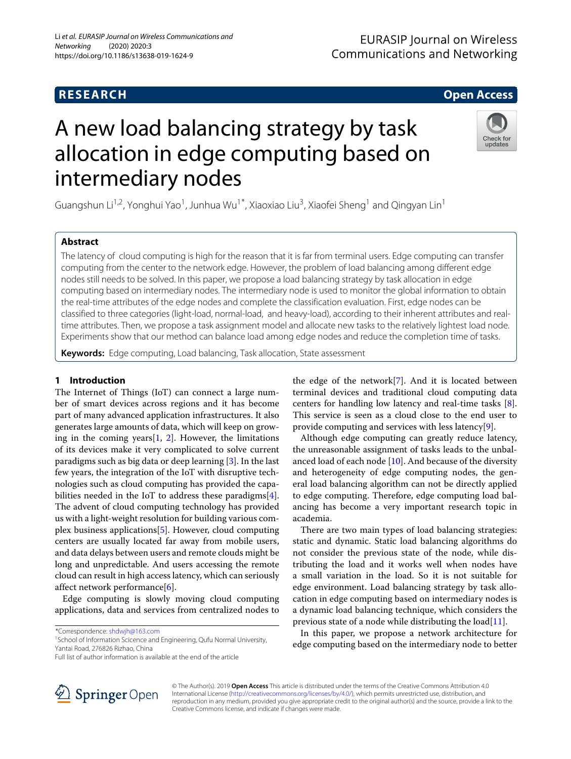# **RESEARCH Open Access**

# A new load balancing strategy by task allocation in edge computing based on intermediary nodes



Guangshun Li<sup>1,2</sup>, Yonghui Yao<sup>1</sup>, Junhua Wu<sup>1\*</sup>, Xiaoxiao Liu<sup>3</sup>, Xiaofei Sheng<sup>1</sup> and Qingyan Lin<sup>1</sup>

# **Abstract**

The latency of cloud computing is high for the reason that it is far from terminal users. Edge computing can transfer computing from the center to the network edge. However, the problem of load balancing among different edge nodes still needs to be solved. In this paper, we propose a load balancing strategy by task allocation in edge computing based on intermediary nodes. The intermediary node is used to monitor the global information to obtain the real-time attributes of the edge nodes and complete the classification evaluation. First, edge nodes can be classified to three categories (light-load, normal-load, and heavy-load), according to their inherent attributes and realtime attributes. Then, we propose a task assignment model and allocate new tasks to the relatively lightest load node. Experiments show that our method can balance load among edge nodes and reduce the completion time of tasks.

**Keywords:** Edge computing, Load balancing, Task allocation, State assessment

## **1 Introduction**

The Internet of Things (IoT) can connect a large number of smart devices across regions and it has become part of many advanced application infrastructures. It also generates large amounts of data, which will keep on growing in the coming years $[1, 2]$  $[1, 2]$  $[1, 2]$ . However, the limitations of its devices make it very complicated to solve current paradigms such as big data or deep learning [\[3\]](#page-9-1). In the last few years, the integration of the IoT with disruptive technologies such as cloud computing has provided the capabilities needed in the IoT to address these paradigms[\[4\]](#page-9-2). The advent of cloud computing technology has provided us with a light-weight resolution for building various complex business applications[\[5\]](#page-9-3). However, cloud computing centers are usually located far away from mobile users, and data delays between users and remote clouds might be long and unpredictable. And users accessing the remote cloud can result in high access latency, which can seriously affect network performance[\[6\]](#page-9-4).

Edge computing is slowly moving cloud computing applications, data and services from centralized nodes to

\*Correspondence: [shdwjh@163.com](mailto: shdwjh@163.com)



Although edge computing can greatly reduce latency, the unreasonable assignment of tasks leads to the unbalanced load of each node  $[10]$ . And because of the diversity and heterogeneity of edge computing nodes, the general load balancing algorithm can not be directly applied to edge computing. Therefore, edge computing load balancing has become a very important research topic in academia.

There are two main types of load balancing strategies: static and dynamic. Static load balancing algorithms do not consider the previous state of the node, while distributing the load and it works well when nodes have a small variation in the load. So it is not suitable for edge environment. Load balancing strategy by task allocation in edge computing based on intermediary nodes is a dynamic load balancing technique, which considers the previous state of a node while distributing the  $load[11]$  $load[11]$ .

In this paper, we propose a network architecture for edge computing based on the intermediary node to better



© The Author(s). 2019 **Open Access** This article is distributed under the terms of the Creative Commons Attribution 4.0 International License [\(http://creativecommons.org/licenses/by/4.0/\)](http://creativecommons.org/licenses/by/4.0/), which permits unrestricted use, distribution, and reproduction in any medium, provided you give appropriate credit to the original author(s) and the source, provide a link to the Creative Commons license, and indicate if changes were made.

<sup>&</sup>lt;sup>1</sup> School of Information Scicence and Engineering, Qufu Normal University, Yantai Road, 276826 Rizhao, China

Full list of author information is available at the end of the article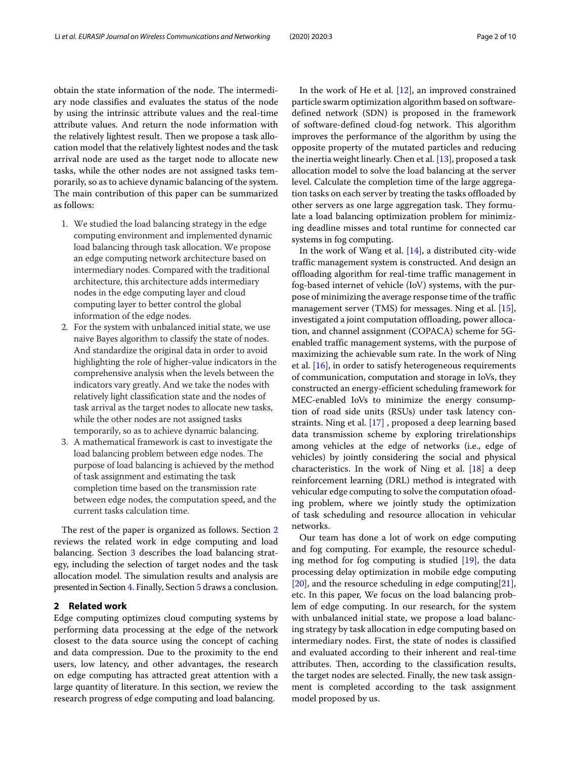obtain the state information of the node. The intermediary node classifies and evaluates the status of the node by using the intrinsic attribute values and the real-time attribute values. And return the node information with the relatively lightest result. Then we propose a task allocation model that the relatively lightest nodes and the task arrival node are used as the target node to allocate new tasks, while the other nodes are not assigned tasks temporarily, so as to achieve dynamic balancing of the system. The main contribution of this paper can be summarized as follows:

- 1. We studied the load balancing strategy in the edge computing environment and implemented dynamic load balancing through task allocation. We propose an edge computing network architecture based on intermediary nodes. Compared with the traditional architecture, this architecture adds intermediary nodes in the edge computing layer and cloud computing layer to better control the global information of the edge nodes.
- 2. For the system with unbalanced initial state, we use naive Bayes algorithm to classify the state of nodes. And standardize the original data in order to avoid highlighting the role of higher-value indicators in the comprehensive analysis when the levels between the indicators vary greatly. And we take the nodes with relatively light classification state and the nodes of task arrival as the target nodes to allocate new tasks, while the other nodes are not assigned tasks temporarily, so as to achieve dynamic balancing.
- 3. A mathematical framework is cast to investigate the load balancing problem between edge nodes. The purpose of load balancing is achieved by the method of task assignment and estimating the task completion time based on the transmission rate between edge nodes, the computation speed, and the current tasks calculation time.

The rest of the paper is organized as follows. Section [2](#page-1-0) reviews the related work in edge computing and load balancing. Section [3](#page-2-0) describes the load balancing strategy, including the selection of target nodes and the task allocation model. The simulation results and analysis are presented in Section [4.](#page-5-0) Finally, Section [5](#page-8-1) draws a conclusion.

#### <span id="page-1-0"></span>**2 Related work**

Edge computing optimizes cloud computing systems by performing data processing at the edge of the network closest to the data source using the concept of caching and data compression. Due to the proximity to the end users, low latency, and other advantages, the research on edge computing has attracted great attention with a large quantity of literature. In this section, we review the research progress of edge computing and load balancing.

In the work of He et al.  $[12]$ , an improved constrained particle swarm optimization algorithm based on softwaredefined network (SDN) is proposed in the framework of software-defined cloud-fog network. This algorithm improves the performance of the algorithm by using the opposite property of the mutated particles and reducing the inertia weight linearly. Chen et al. [\[13\]](#page-9-11), proposed a task allocation model to solve the load balancing at the server level. Calculate the completion time of the large aggregation tasks on each server by treating the tasks offloaded by other servers as one large aggregation task. They formulate a load balancing optimization problem for minimizing deadline misses and total runtime for connected car systems in fog computing.

In the work of Wang et al. [\[14\]](#page-9-12), a distributed city-wide traffic management system is constructed. And design an offloading algorithm for real-time traffic management in fog-based internet of vehicle (IoV) systems, with the purpose of minimizing the average response time of the traffic management server (TMS) for messages. Ning et al. [\[15\]](#page-9-13), investigated a joint computation offloading, power allocation, and channel assignment (COPACA) scheme for 5Genabled traffic management systems, with the purpose of maximizing the achievable sum rate. In the work of Ning et al. [\[16\]](#page-9-14), in order to satisfy heterogeneous requirements of communication, computation and storage in IoVs, they constructed an energy-efficient scheduling framework for MEC-enabled IoVs to minimize the energy consumption of road side units (RSUs) under task latency constraints. Ning et al. [\[17\]](#page-9-15) , proposed a deep learning based data transmission scheme by exploring trirelationships among vehicles at the edge of networks (i.e., edge of vehicles) by jointly considering the social and physical characteristics. In the work of Ning et al. [\[18\]](#page-9-16) a deep reinforcement learning (DRL) method is integrated with vehicular edge computing to solve the computation ofoading problem, where we jointly study the optimization of task scheduling and resource allocation in vehicular networks.

Our team has done a lot of work on edge computing and fog computing. For example, the resource scheduling method for fog computing is studied [\[19\]](#page-9-17), the data processing delay optimization in mobile edge computing [\[20\]](#page-9-18), and the resource scheduling in edge computing  $[21]$ , etc. In this paper, We focus on the load balancing problem of edge computing. In our research, for the system with unbalanced initial state, we propose a load balancing strategy by task allocation in edge computing based on intermediary nodes. First, the state of nodes is classified and evaluated according to their inherent and real-time attributes. Then, according to the classification results, the target nodes are selected. Finally, the new task assignment is completed according to the task assignment model proposed by us.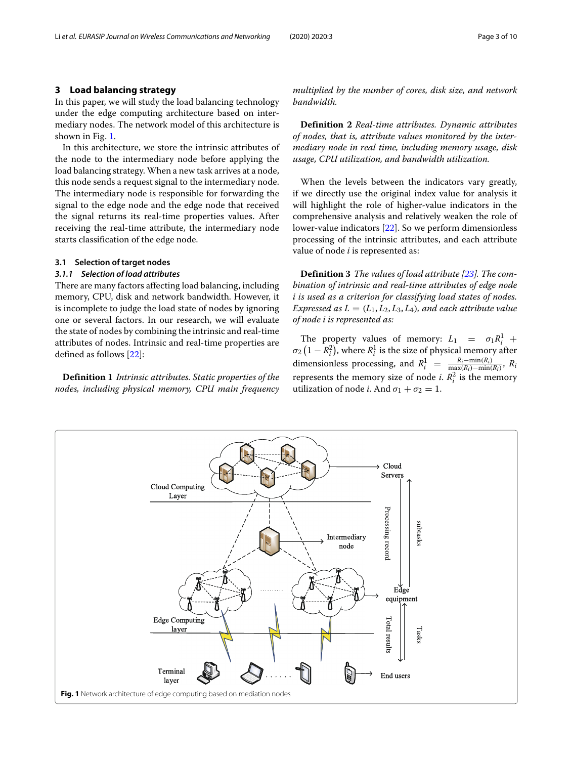#### <span id="page-2-0"></span>**3 Load balancing strategy**

In this paper, we will study the load balancing technology under the edge computing architecture based on intermediary nodes. The network model of this architecture is shown in Fig. [1.](#page-2-1)

In this architecture, we store the intrinsic attributes of the node to the intermediary node before applying the load balancing strategy. When a new task arrives at a node, this node sends a request signal to the intermediary node. The intermediary node is responsible for forwarding the signal to the edge node and the edge node that received the signal returns its real-time properties values. After receiving the real-time attribute, the intermediary node starts classification of the edge node.

#### **3.1 Selection of target nodes**

### *3.1.1 Selection of load attributes*

There are many factors affecting load balancing, including memory, CPU, disk and network bandwidth. However, it is incomplete to judge the load state of nodes by ignoring one or several factors. In our research, we will evaluate the state of nodes by combining the intrinsic and real-time attributes of nodes. Intrinsic and real-time properties are defined as follows [\[22\]](#page-9-20):

**Definition 1** *Intrinsic attributes. Static properties of the nodes, including physical memory, CPU main frequency* *multiplied by the number of cores, disk size, and network bandwidth.*

**Definition 2** *Real-time attributes. Dynamic attributes of nodes, that is, attribute values monitored by the intermediary node in real time, including memory usage, disk usage, CPU utilization, and bandwidth utilization.*

When the levels between the indicators vary greatly, if we directly use the original index value for analysis it will highlight the role of higher-value indicators in the comprehensive analysis and relatively weaken the role of lower-value indicators [\[22\]](#page-9-20). So we perform dimensionless processing of the intrinsic attributes, and each attribute value of node *i* is represented as:

**Definition 3** *The values of load attribute [\[23\]](#page-9-21). The combination of intrinsic and real-time attributes of edge node i is used as a criterion for classifying load states of nodes. Expressed as*  $L = (L_1, L_2, L_3, L_4)$ *, and each attribute value of node i is represented as:*

The property values of memory:  $L_1 = \sigma_1 R_i^1 +$  $\sigma_2\left(1 - R_i^2\right)$ , where  $R_i^1$  is the size of physical memory after dimensionless processing, and  $R_i^1 = \frac{R_i - \min(R_i)}{\max(R_i) - \min(R_i)}$ ,  $R_i$ represents the memory size of node *i*.  $R_i^2$  is the memory utilization of node *i*. And  $\sigma_1 + \sigma_2 = 1$ .

<span id="page-2-1"></span>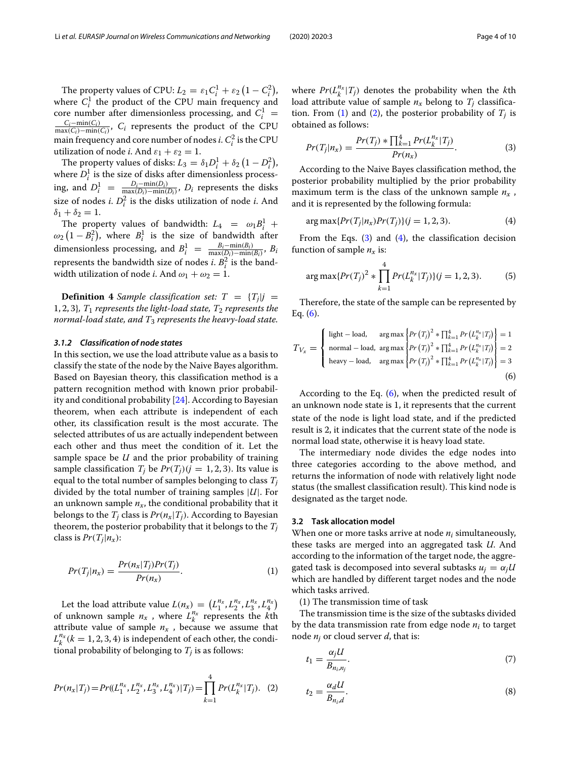The property values of CPU:  $L_2 = \varepsilon_1 C_i^1 + \varepsilon_2 (1 - C_i^2)$ , where  $C_i^1$  the product of the CPU main frequency and core number after dimensionless processing, and  $C_i^1$  = *Ci*−min(*C<sub>i</sub>*), *C<sub>i</sub>* represents the product of the CPU  $\frac{C_i - \min(C_i)}{\max(C_i) - \min(C_i)}$ , *C<sub>i</sub>* represents the product of the CPU main frequency and core number of nodes *i*.  $C_i^2$  is the CPU utilization of node *i*. And  $\varepsilon_1 + \varepsilon_2 = 1$ .

The property values of disks:  $L_3 = \delta_1 D_i^1 + \delta_2 (1 - D_i^2)$ , where  $D_i^1$  is the size of disks after dimensionless processing, and  $D_i^1 = \frac{D_i - \min(D_i)}{\max(D_i) - \min(D_i)}$ , *D<sub>i</sub>* represents the disks size of nodes *i*.  $D_i^2$  is the disks utilization of node *i*. And  $\delta_1 + \delta_2 = 1.$ 

The property values of bandwidth:  $L_4 = \omega_1 B_i^1 +$  $\omega_2(1-B_i^2)$ , where  $B_i^1$  is the size of bandwidth after dimensionless processing, and  $B_i^1 = \frac{B_i - \min(B_i)}{\max(D_i) - \min(B_i)}$ ,  $B_i$ represents the bandwidth size of nodes *i*.  $B_i^2$  is the bandwidth utilization of node *i*. And  $\omega_1 + \omega_2 = 1$ .

**Definition 4** *Sample classification set:*  $T = \{T_j | j = 1\}$ 1, 2, 3}*, T*<sup>1</sup> *represents the light-load state, T*<sup>2</sup> *represents the normal-load state, and T*<sup>3</sup> *represents the heavy-load state.*

#### *3.1.2 Classification of node states*

In this section, we use the load attribute value as a basis to classify the state of the node by the Naive Bayes algorithm. Based on Bayesian theory, this classification method is a pattern recognition method with known prior probability and conditional probability [\[24\]](#page-9-22). According to Bayesian theorem, when each attribute is independent of each other, its classification result is the most accurate. The selected attributes of us are actually independent between each other and thus meet the condition of it. Let the sample space be *U* and the prior probability of training sample classification  $T_i$  be  $Pr(T_i)(j = 1, 2, 3)$ . Its value is equal to the total number of samples belonging to class *Tj* divided by the total number of training samples |*U*|. For an unknown sample  $n_x$ , the conditional probability that it belongs to the  $T_i$  class is  $Pr(n_x|T_i)$ . According to Bayesian theorem, the posterior probability that it belongs to the  $T_i$ class is  $Pr(T_i|n_x)$ :

<span id="page-3-0"></span>
$$
Pr(T_j|n_x) = \frac{Pr(n_x|T_j)Pr(T_j)}{Pr(n_x)}.
$$
\n(1)

Let the load attribute value  $L(n_x) = (L_1^{n_x}, L_2^{n_x}, L_3^{n_x}, L_4^{n_x})$ of unknown sample  $n_x$ , where  $L_k^{n_x}$  represents the *k*<sup>th</sup> attribute value of sample  $n_x$ , because we assume that  $L_k^{n_x}$  ( $k = 1, 2, 3, 4$ ) is independent of each other, the conditional probability of belonging to  $T_i$  is as follows:

$$
Pr(n_x|T_j) = Pr((L_1^{n_x}, L_2^{n_x}, L_3^{n_x}, L_4^{n_x})|T_j) = \prod_{k=1}^4 Pr(L_k^{n_x}|T_j). \tag{2}
$$

where  $Pr(L_k^{n_x}|T_j)$  denotes the probability when the *k*th load attribute value of sample  $n_x$  belong to  $T_i$  classifica-tion. From [\(1\)](#page-3-0) and [\(2\)](#page-3-1), the posterior probability of  $T_i$  is obtained as follows:

<span id="page-3-2"></span>
$$
Pr(T_j|n_x) = \frac{Pr(T_j) * \prod_{k=1}^{4} Pr(L_k^{n_x}|T_j)}{Pr(n_x)}.
$$
 (3)

According to the Naive Bayes classification method, the posterior probability multiplied by the prior probability maximum term is the class of the unknown sample  $n_x$ , and it is represented by the following formula:

<span id="page-3-3"></span>
$$
\arg \max \{ Pr(T_j | n_x) Pr(T_j) \} (j = 1, 2, 3). \tag{4}
$$

From the Eqs.  $(3)$  and  $(4)$ , the classification decision function of sample  $n_x$  is:

$$
\arg \max \{ Pr(T_j)^2 * \prod_{k=1}^4 Pr(L_k^{n_x} | T_j) \} (j = 1, 2, 3). \tag{5}
$$

<span id="page-3-4"></span>Therefore, the state of the sample can be represented by Eq.  $(6)$ .

$$
T_{V_x} = \begin{cases} \text{light - load,} & \text{arg max} \left\{ P_r(T_j)^2 * \prod_{k=1}^4 P_r(L_k^{n_x}|T_j) \right\} = 1\\ \text{normal - load,} & \text{arg max} \left\{ P_r(T_j)^2 * \prod_{k=1}^4 P_r(L_k^{n_x}|T_j) \right\} = 2\\ \text{heavy - load,} & \text{arg max} \left\{ P_r(T_j)^2 * \prod_{k=1}^4 P_r(L_k^{n_x}|T_j) \right\} = 3\\ \end{cases} \tag{6}
$$

According to the Eq. [\(6\)](#page-3-4), when the predicted result of an unknown node state is 1, it represents that the current state of the node is light load state, and if the predicted result is 2, it indicates that the current state of the node is normal load state, otherwise it is heavy load state.

The intermediary node divides the edge nodes into three categories according to the above method, and returns the information of node with relatively light node status (the smallest classification result). This kind node is designated as the target node.

#### **3.2 Task allocation model**

When one or more tasks arrive at node *ni* simultaneously, these tasks are merged into an aggregated task *U*. And according to the information of the target node, the aggregated task is decomposed into several subtasks  $u_i = \alpha_i U$ which are handled by different target nodes and the node which tasks arrived.

(1) The transmission time of task

<span id="page-3-1"></span>The transmission time is the size of the subtasks divided by the data transmission rate from edge node *ni* to target node *nj* or cloud server *d*, that is:

$$
t_1 = \frac{\alpha_j U}{B_{n_i, n_j}}.\tag{7}
$$

$$
t_2 = \frac{\alpha_d U}{B_{n_i,d}}.\tag{8}
$$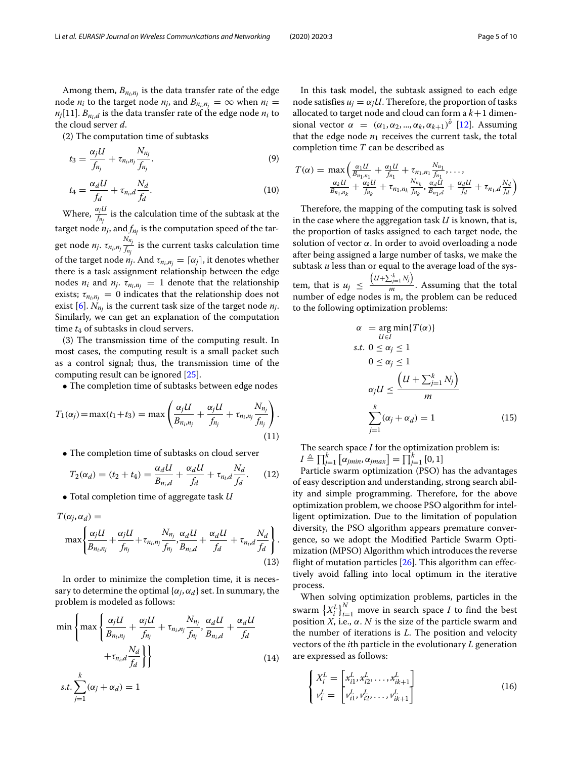Among them,  $B_{n_i,n_j}$  is the data transfer rate of the edge node *n<sub>i</sub>* to the target node *n<sub>j</sub>*, and  $B_{n_i,n_j} = \infty$  when  $n_i =$  $n_j$ [11].  $B_{n_i,d}$  is the data transfer rate of the edge node  $n_i$  to the cloud server *d*.

(2) The computation time of subtasks

$$
t_3 = \frac{\alpha_j U}{f_{n_j}} + \tau_{n_i, n_j} \frac{N_{n_j}}{f_{n_j}}.\tag{9}
$$

$$
t_4 = \frac{\alpha_d U}{f_d} + \tau_{n_i, d} \frac{N_d}{f_d}.\tag{10}
$$

Where,  $\frac{\alpha_j U}{f_{n_j}}$  is the calculation time of the subtask at the target node  $n_j$ , and  $f_{n_j}$  is the computation speed of the target node  $n_j$ .  $\tau_{n_i, n_j} \frac{N_{n_j}}{f_n}$  $\frac{f_{n_j}}{f_{n_j}}$  is the current tasks calculation time of the target node  $n_j$ . And  $\tau_{n_i,n_j} = \lceil \alpha_j \rceil$ , it denotes whether there is a task assignment relationship between the edge nodes  $n_i$  and  $n_j$ .  $\tau_{n_i,n_j} = 1$  denote that the relationship exists;  $\tau_{n_i,n_i} = 0$  indicates that the relationship does not exist [\[6\]](#page-9-4).  $N_{n_j}$  is the current task size of the target node  $n_j$ . Similarly, we can get an explanation of the computation time  $t_4$  of subtasks in cloud servers.

(3) The transmission time of the computing result. In most cases, the computing result is a small packet such as a control signal; thus, the transmission time of the computing result can be ignored [\[25\]](#page-9-23).

• The completion time of subtasks between edge nodes

$$
T_1(\alpha_j) = \max(t_1 + t_3) = \max\left(\frac{\alpha_j U}{B_{n_i, n_j}} + \frac{\alpha_j U}{f_{n_j}} + \tau_{n_i, n_j} \frac{N_{n_j}}{f_{n_j}}\right).
$$
\n(11)

• The completion time of subtasks on cloud server

$$
T_2(\alpha_d) = (t_2 + t_4) = \frac{\alpha_d U}{B_{n_i,d}} + \frac{\alpha_d U}{f_d} + \tau_{n_i,d} \frac{N_d}{f_d}.
$$
 (12)

• Total completion time of aggregate task *U*

$$
T(\alpha_j, \alpha_d) =
$$
  

$$
\max \left\{ \frac{\alpha_j U}{B_{n_i, n_j}} + \frac{\alpha_j U}{f_{n_j}} + \tau_{n_i, n_j} \frac{N_{n_j}}{f_{n_j}}, \frac{\alpha_d U}{B_{n_i, d}} + \frac{\alpha_d U}{f_d} + \tau_{n_i, d} \frac{N_d}{f_d} \right\}.
$$
  
(13)

In order to minimize the completion time, it is necessary to determine the optimal  $\{\alpha_i, \alpha_d\}$  set. In summary, the problem is modeled as follows:

$$
\min\left\{\max\left\{\frac{\alpha_j U}{B_{n_i, n_j}} + \frac{\alpha_j U}{f_{n_j}} + \tau_{n_i, n_j} \frac{N_{n_j}}{f_{n_j}}, \frac{\alpha_d U}{B_{n_i, d}} + \frac{\alpha_d U}{f_d} + \tau_{n_i, d} \frac{N_d}{f_d}\right\}\right\}
$$
\n
$$
s.t. \sum_{j=1}^k (\alpha_j + \alpha_d) = 1
$$
\n(14)

In this task model, the subtask assigned to each edge node satisfies  $u_j = \alpha_j U$ . Therefore, the proportion of tasks allocated to target node and cloud can form a  $k+1$  dimensional vector  $\alpha = (\alpha_1, \alpha_2, ..., \alpha_k, \alpha_{k+1})^{\hat{\theta}}$  [\[12\]](#page-9-10). Assuming that the edge node  $n_1$  receives the current task, the total completion time *T* can be described as

$$
T(\alpha) = \max \left( \frac{\alpha_1 U}{B_{n_1, n_1}} + \frac{\alpha_1 U}{f_{n_1}} + \tau_{n_1, n_1} \frac{N_{n_1}}{f_{n_1}}, \dots, \frac{N_{n_L}}{B_{n_1, n_L}} + \frac{\alpha_k U}{f_{n_R}} + \tau_{n_1, n_L} \frac{N_{n_L}}{f_{n_L}}, \frac{\alpha_d U}{B_{n_1, d}} + \frac{\alpha_d U}{f_d} + \tau_{n_1, d} \frac{N_d}{f_d} \right)
$$

Therefore, the mapping of the computing task is solved in the case where the aggregation task *U* is known, that is, the proportion of tasks assigned to each target node, the solution of vector  $\alpha$ . In order to avoid overloading a node after being assigned a large number of tasks, we make the subtask *u* less than or equal to the average load of the system, that is  $u_j \n\leq$  $(U+\sum_{j=1}^k N_j)$  $\frac{m}{m}$ . Assuming that the total number of edge nodes is m, the problem can be reduced to the following optimization problems:

$$
\alpha = \arg \min \{ T(\alpha) \}
$$
  
s.t.  $0 \le \alpha_j \le 1$   

$$
0 \le \alpha_j \le 1
$$
  

$$
\alpha_j U \le \frac{\left( U + \sum_{j=1}^k N_j \right)}{m}
$$
  

$$
\sum_{j=1}^k (\alpha_j + \alpha_d) = 1
$$
 (15)

The search space *I* for the optimization problem is:  $I \triangleq \prod_{j=1}^{k} [\alpha_{jmin}, \alpha_{jmax}] = \prod_{j=1}^{k} [0, 1]$ 

Particle swarm optimization (PSO) has the advantages of easy description and understanding, strong search ability and simple programming. Therefore, for the above optimization problem, we choose PSO algorithm for intelligent optimization. Due to the limitation of population diversity, the PSO algorithm appears premature convergence, so we adopt the Modified Particle Swarm Optimization (MPSO) Algorithm which introduces the reverse flight of mutation particles  $[26]$ . This algorithm can effectively avoid falling into local optimum in the iterative process.

When solving optimization problems, particles in the swarm  $\left\{X_i^L\right\}_{i=1}^N$  move in search space *I* to find the best position  $X$ , i.e.,  $\alpha$ .  $N$  is the size of the particle swarm and the number of iterations is *L*. The position and velocity vectors of the *i*th particle in the evolutionary *L* generation are expressed as follows:

$$
\begin{cases} X_i^L = \begin{bmatrix} x_{i1}^L, x_{i2}^L, \dots, x_{ik+1}^L \\ v_i^L = \begin{bmatrix} v_{i1}^L, v_{i2}^L, \dots, v_{ik+1}^L \end{bmatrix} \end{cases}
$$
 (16)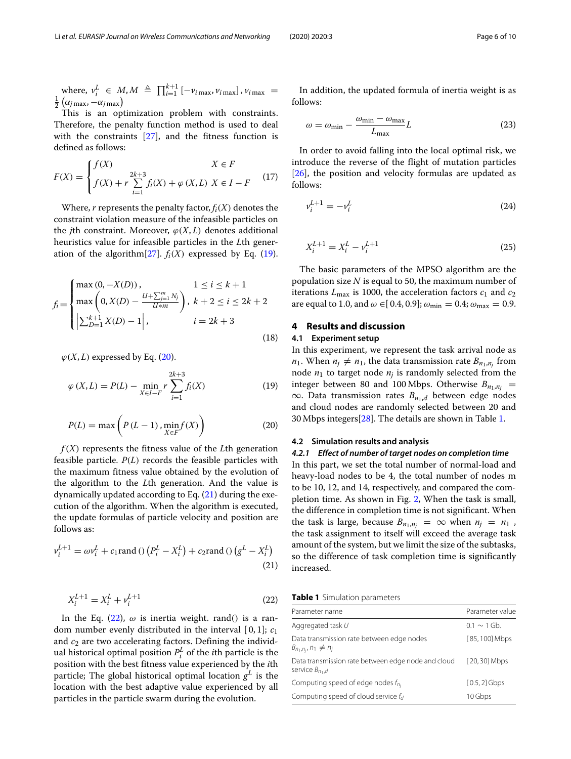where,  $v_i^L \in M, M \triangleq \prod_{i=1}^{k+1} [-v_{i \max}, v_{i \max}]$ ,  $v_{i \max} = \frac{1}{k}$  $\frac{1}{2}(\alpha_{j\max}, -\alpha_{j\max})$ 

This is an optimization problem with constraints. Therefore, the penalty function method is used to deal with the constraints [\[27\]](#page-9-25), and the fitness function is defined as follows:

$$
F(X) = \begin{cases} f(X) & X \in F \\ f(X) + r \sum_{i=1}^{2k+3} f_i(X) + \varphi(X, L) & X \in I - F \end{cases}
$$
(17)

Where,  $r$  represents the penalty factor,  $f_i(X)$  denotes the constraint violation measure of the infeasible particles on the *j*th constraint. Moreover,  $\varphi(X, L)$  denotes additional heuristics value for infeasible particles in the *L*th generation of the algorithm $[27]$ .  $f_i(X)$  expressed by Eq. [\(19\)](#page-5-1).

$$
f_i = \begin{cases} \max(0, -X(D)), & 1 \le i \le k+1 \\ \max\left(0, X(D) - \frac{U + \sum_{j=1}^{m} N_j}{U \ast m}\right), & k+2 \le i \le 2k+2 \\ \left|\sum_{D=1}^{k+1} X(D) - 1\right|, & i = 2k+3 \end{cases}
$$
(18)

 $\varphi(X, L)$  expressed by Eq. [\(20\)](#page-5-2).

<span id="page-5-1"></span>
$$
\varphi(X, L) = P(L) - \min_{X \in I - F} r \sum_{i=1}^{2k+3} f_i(X)
$$
\n(19)

<span id="page-5-2"></span>
$$
P(L) = \max\left(P(L-1), \min_{X \in F} f(X)\right) \tag{20}
$$

*f*(*X*) represents the fitness value of the *L*th generation feasible particle. *P*(*L*) records the feasible particles with the maximum fitness value obtained by the evolution of the algorithm to the *L*th generation. And the value is dynamically updated according to Eq.  $(21)$  during the execution of the algorithm. When the algorithm is executed, the update formulas of particle velocity and position are follows as:

<span id="page-5-3"></span>
$$
v_i^{L+1} = \omega v_i^L + c_1 \text{rand} \left( \frac{p_i^L - X_i^L}{t} \right) + c_2 \text{rand} \left( \frac{g^L - X_i^L}{t} \right) \tag{21}
$$

<span id="page-5-4"></span>
$$
X_i^{L+1} = X_i^L + v_i^{L+1}
$$
\n(22)

In the Eq.  $(22)$ ,  $\omega$  is inertia weight. rand() is a random number evenly distributed in the interval [ 0, 1]; *c*<sup>1</sup> and  $c_2$  are two accelerating factors. Defining the individual historical optimal position  $P_i^L$  of the *i*th particle is the position with the best fitness value experienced by the *i*th particle; The global historical optimal location  $g^L$  is the location with the best adaptive value experienced by all particles in the particle swarm during the evolution.

In addition, the updated formula of inertia weight is as follows:

$$
\omega = \omega_{\min} - \frac{\omega_{\min} - \omega_{\max}}{L_{\max}} L \tag{23}
$$

In order to avoid falling into the local optimal risk, we introduce the reverse of the flight of mutation particles [\[26\]](#page-9-24), the position and velocity formulas are updated as follows:

$$
\nu_i^{L+1} = -\nu_i^L \tag{24}
$$

$$
X_i^{L+1} = X_i^L - v_i^{L+1}
$$
\n(25)

The basic parameters of the MPSO algorithm are the population size *N* is equal to 50, the maximum number of iterations  $L_{\text{max}}$  is 1000, the acceleration factors  $c_1$  and  $c_2$ are equal to 1.0, and  $\omega \in [0.4, 0.9]$ ;  $\omega_{\text{min}} = 0.4$ ;  $\omega_{\text{max}} = 0.9$ .

#### <span id="page-5-0"></span>**4 Results and discussion**

#### **4.1 Experiment setup**

In this experiment, we represent the task arrival node as  $n_1$ . When  $n_j \neq n_1$ , the data transmission rate  $B_{n_1,n_j}$  from node  $n_1$  to target node  $n_i$  is randomly selected from the integer between 80 and 100 Mbps. Otherwise  $B_{n_1,n_i}$  = ∞. Data transmission rates  $B_{n_1,d}$  between edge nodes and cloud nodes are randomly selected between 20 and 30 Mbps integers[\[28\]](#page-9-26). The details are shown in Table [1.](#page-5-5)

#### **4.2 Simulation results and analysis**

#### *4.2.1 Effect of number of target nodes on completion time*

In this part, we set the total number of normal-load and heavy-load nodes to be 4, the total number of nodes m to be 10, 12, and 14, respectively, and compared the completion time. As shown in Fig. [2,](#page-6-0) When the task is small, the difference in completion time is not significant. When the task is large, because  $B_{n_1,n_j} = \infty$  when  $n_j = n_1$ , the task assignment to itself will exceed the average task amount of the system, but we limit the size of the subtasks, so the difference of task completion time is significantly increased.

**Table 1** Simulation parameters

<span id="page-5-5"></span>

| Parameter name                                                           | Parameter value |
|--------------------------------------------------------------------------|-----------------|
| Aggregated task U                                                        | $01 \sim 1$ Gh  |
| Data transmission rate between edge nodes<br>$B_{n_1,n_i}, n_1 \neq n_i$ | [85, 100] Mbps  |
| Data transmission rate between edge node and cloud<br>service $B_{n,d}$  | $[20, 30]$ Mbps |
| Computing speed of edge nodes $f_{n_i}$                                  | $[0.5, 2]$ Gbps |
| Computing speed of cloud service $f_d$                                   | 10 Gbps         |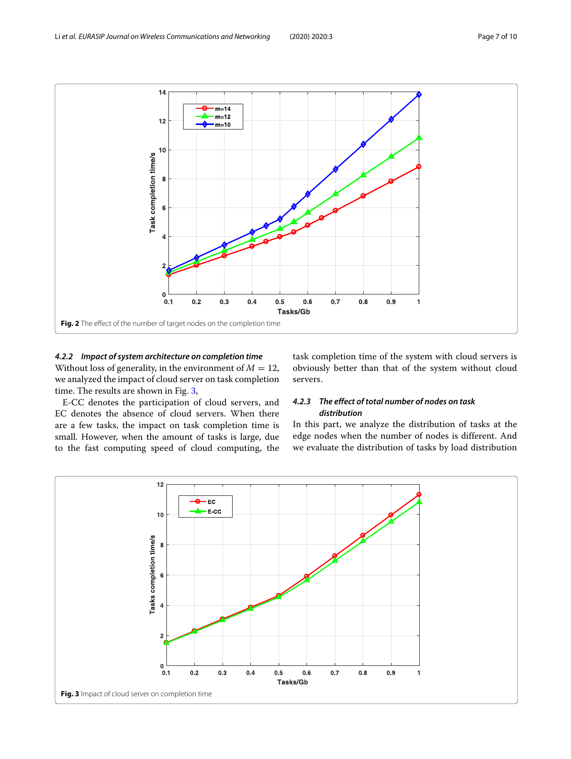

#### <span id="page-6-0"></span>*4.2.2 Impact of system architecture on completion time*

Without loss of generality, in the environment of  $M = 12$ , we analyzed the impact of cloud server on task completion time. The results are shown in Fig. [3,](#page-6-1)

E-CC denotes the participation of cloud servers, and EC denotes the absence of cloud servers. When there are a few tasks, the impact on task completion time is small. However, when the amount of tasks is large, due to the fast computing speed of cloud computing, the task completion time of the system with cloud servers is obviously better than that of the system without cloud servers.

#### *4.2.3 The effect of total number of nodes on task distribution*

In this part, we analyze the distribution of tasks at the edge nodes when the number of nodes is different. And we evaluate the distribution of tasks by load distribution

<span id="page-6-1"></span>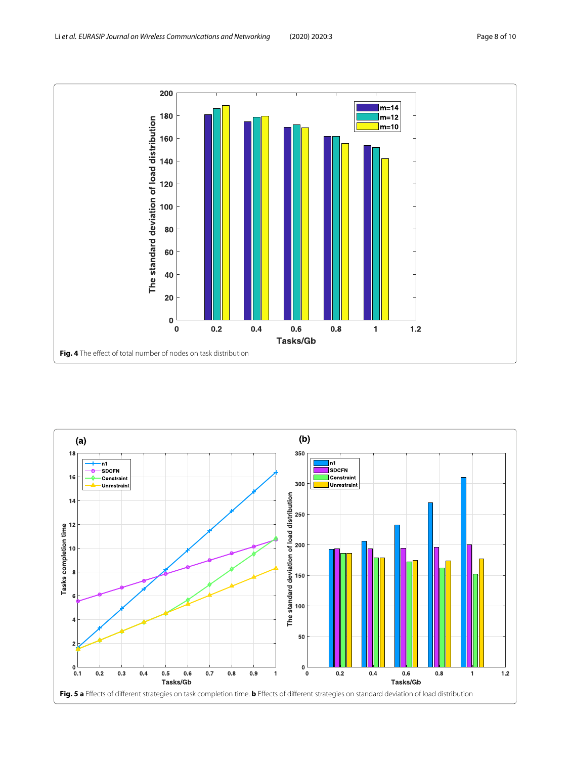

<span id="page-7-1"></span><span id="page-7-0"></span>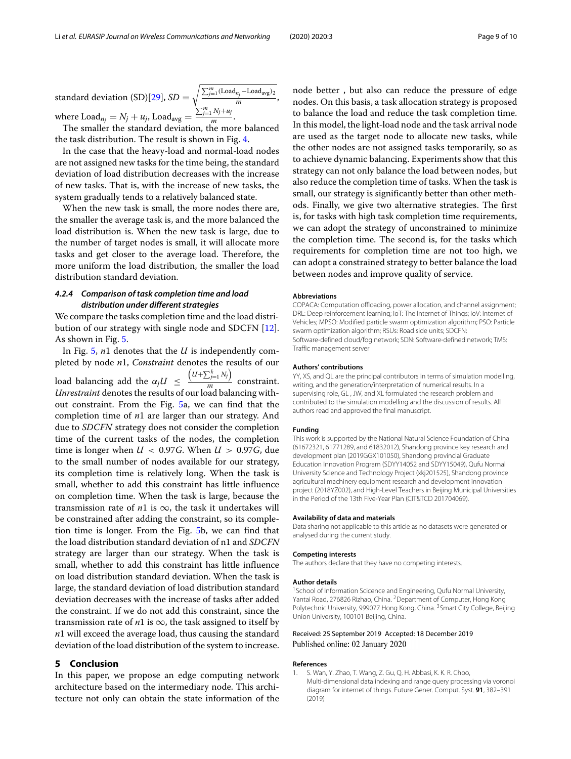standard deviation (SD)[\[29\]](#page-9-27), *SD* =  $\sqrt{\frac{\sum_{j=1}^{m}(\text{Load}_{n_j}-\text{Load}_{avg})_2}{m}},$ where  $\text{Load}_{n_j} = N_j + u_j$ ,  $\text{Load}_{\text{avg}} = \frac{\sum_{j=1}^{m} N_j + u_j}{m}$ .

The smaller the standard deviation, the more balanced the task distribution. The result is shown in Fig. [4.](#page-7-0)

In the case that the heavy-load and normal-load nodes are not assigned new tasks for the time being, the standard deviation of load distribution decreases with the increase of new tasks. That is, with the increase of new tasks, the system gradually tends to a relatively balanced state.

When the new task is small, the more nodes there are, the smaller the average task is, and the more balanced the load distribution is. When the new task is large, due to the number of target nodes is small, it will allocate more tasks and get closer to the average load. Therefore, the more uniform the load distribution, the smaller the load distribution standard deviation.

#### *4.2.4 Comparison of task completion time and load distribution under different strategies*

We compare the tasks completion time and the load distribution of our strategy with single node and SDCFN [\[12\]](#page-9-10). As shown in Fig. [5.](#page-7-1)

In Fig. [5,](#page-7-1) *n*1 denotes that the *U* is independently completed by node *n*1, *Constraint* denotes the results of our load balancing add the  $\alpha_j U \leq$  $(U+\sum_{j=1}^k N_j)$  $\frac{2y-1}{m}$  constraint. *Unrestraint* denotes the results of our load balancing without constraint. From the Fig. [5a](#page-7-1), we can find that the completion time of *n*1 are larger than our strategy. And due to *SDCFN* strategy does not consider the completion time of the current tasks of the nodes, the completion time is longer when  $U < 0.97$ *G*. When  $U > 0.97$ *G*, due to the small number of nodes available for our strategy, its completion time is relatively long. When the task is small, whether to add this constraint has little influence on completion time. When the task is large, because the transmission rate of  $n1$  is  $\infty$ , the task it undertakes will be constrained after adding the constraint, so its completion time is longer. From the Fig. [5b](#page-7-1), we can find that the load distribution standard deviation of n1 and *SDCFN* strategy are larger than our strategy. When the task is small, whether to add this constraint has little influence on load distribution standard deviation. When the task is large, the standard deviation of load distribution standard deviation decreases with the increase of tasks after added the constraint. If we do not add this constraint, since the transmission rate of  $n1$  is  $\infty$ , the task assigned to itself by *n*1 will exceed the average load, thus causing the standard deviation of the load distribution of the system to increase.

#### <span id="page-8-1"></span>**5 Conclusion**

In this paper, we propose an edge computing network architecture based on the intermediary node. This architecture not only can obtain the state information of the

node better , but also can reduce the pressure of edge nodes. On this basis, a task allocation strategy is proposed to balance the load and reduce the task completion time. In this model, the light-load node and the task arrival node are used as the target node to allocate new tasks, while the other nodes are not assigned tasks temporarily, so as to achieve dynamic balancing. Experiments show that this strategy can not only balance the load between nodes, but also reduce the completion time of tasks. When the task is small, our strategy is significantly better than other methods. Finally, we give two alternative strategies. The first is, for tasks with high task completion time requirements, we can adopt the strategy of unconstrained to minimize the completion time. The second is, for the tasks which requirements for completion time are not too high, we can adopt a constrained strategy to better balance the load between nodes and improve quality of service.

#### **Abbreviations**

COPACA: Computation offloading, power allocation, and channel assignment; DRL: Deep reinforcement learning; IoT: The Internet of Things; IoV: Internet of Vehicles; MPSO: Modified particle swarm optimization algorithm; PSO: Particle swarm optimization algorithm; RSUs: Road side units; SDCFN: Software-defined cloud/fog network; SDN: Software-defined network; TMS: Traffic management server

#### **Authors' contributions**

YY, XS, and QL are the principal contributors in terms of simulation modelling, writing, and the generation/interpretation of numerical results. In a supervising role, GL , JW, and XL formulated the research problem and contributed to the simulation modelling and the discussion of results. All authors read and approved the final manuscript.

#### **Funding**

This work is supported by the National Natural Science Foundation of China (61672321, 61771289, and 61832012), Shandong province key research and development plan (2019GGX101050), Shandong provincial Graduate Education Innovation Program (SDYY14052 and SDYY15049), Qufu Normal University Science and Technology Project (xkj201525), Shandong province agricultural machinery equipment research and development innovation project (2018YZ002), and High-Level Teachers in Beijing Municipal Universities in the Period of the 13th Five-Year Plan (CIT&TCD 201704069).

#### **Availability of data and materials**

Data sharing not applicable to this article as no datasets were generated or analysed during the current study.

#### **Competing interests**

The authors declare that they have no competing interests.

#### **Author details**

<sup>1</sup> School of Information Scicence and Engineering, Qufu Normal University, Yantai Road, 276826 Rizhao, China. 2Department of Computer, Hong Kong Polytechnic University, 999077 Hong Kong, China. <sup>3</sup> Smart City College, Beijing Union University, 100101 Beijing, China.

#### Received: 25 September 2019 Accepted: 18 December 2019 Published online: 02 January 2020

#### **References**

<span id="page-8-0"></span>1. S. Wan, Y. Zhao, T. Wang, Z. Gu, Q. H. Abbasi, K. K. R. Choo, Multi-dimensional data indexing and range query processing via voronoi diagram for internet of things. Future Gener. Comput. Syst. **91**, 382–391 (2019)